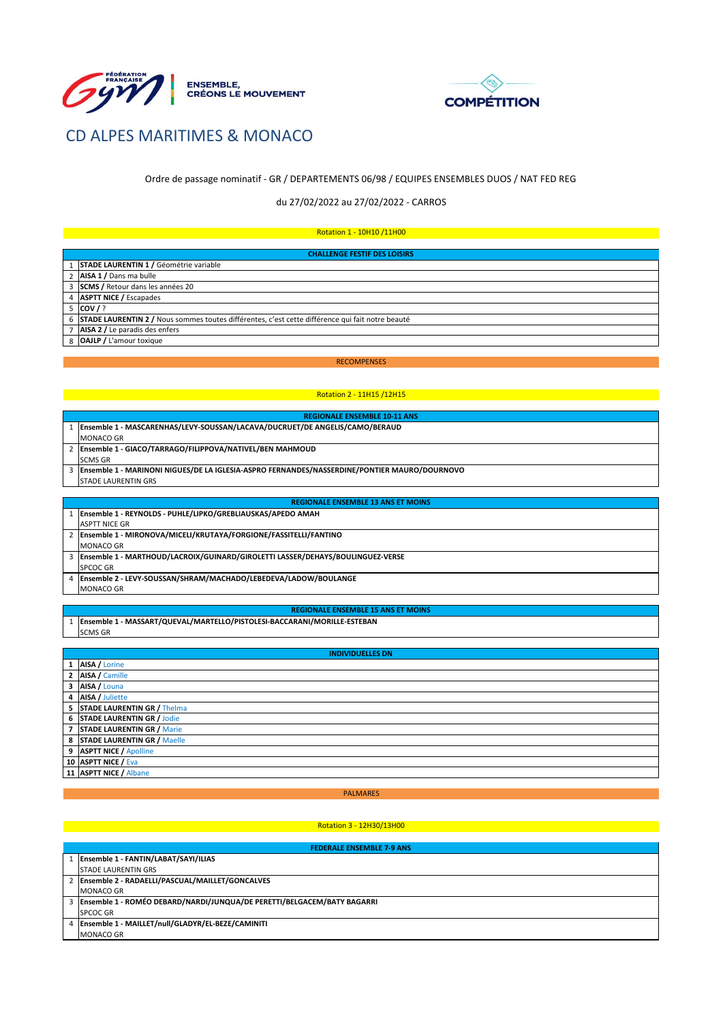



# CD ALPES MARITIMES & MONACO

# Ordre de passage nominatif - GR / DEPARTEMENTS 06/98 / EQUIPES ENSEMBLES DUOS / NAT FED REG

# du 27/02/2022 au 27/02/2022 - CARROS

# Rotation 1 - 10H10 /11H00

| <b>CHALLENGE FESTIF DES LOISIRS</b>                                                                |  |  |
|----------------------------------------------------------------------------------------------------|--|--|
| 1 STADE LAURENTIN 1 / Géométrie variable                                                           |  |  |
| 2 AISA 1 / Dans ma bulle                                                                           |  |  |
| 3 SCMS / Retour dans les années 20                                                                 |  |  |
| 4 <b>ASPTT NICE /</b> Escapades                                                                    |  |  |
| $5$ COV $/$ ?                                                                                      |  |  |
| 6 STADE LAURENTIN 2 / Nous sommes toutes différentes, c'est cette différence qui fait notre beauté |  |  |
| 7 AISA 2 / Le paradis des enfers                                                                   |  |  |
| 8 OAJLP / L'amour toxique                                                                          |  |  |

# RECOMPENSES

# Rotation 2 - 11H15 /12H15

| <b>REGIONALE ENSEMBLE 10-11 ANS</b>                                                            |  |
|------------------------------------------------------------------------------------------------|--|
| 1 Ensemble 1 - MASCARENHAS/LEVY-SOUSSAN/LACAVA/DUCRUET/DE ANGELIS/CAMO/BERAUD                  |  |
| MONACO GR                                                                                      |  |
| 2 Ensemble 1 - GIACO/TARRAGO/FILIPPOVA/NATIVEL/BEN MAHMOUD                                     |  |
| <b>SCMS GR</b>                                                                                 |  |
| 3 Ensemble 1 - MARINONI NIGUES/DE LA IGLESIA-ASPRO FERNANDES/NASSERDINE/PONTIER MAURO/DOURNOVO |  |
| <b>STADE LAURENTIN GRS</b>                                                                     |  |
|                                                                                                |  |
| <b>REGIONALE ENSEMBLE 13 ANS ET MOINS</b>                                                      |  |
| Ensemble 1 - REYNOLDS - PUHLE/LIPKO/GREBLIAUSKAS/APEDO AMAH                                    |  |
| <b>ASPTT NICE GR</b>                                                                           |  |

| <b>ASPTT NICE GR</b>                                                           |
|--------------------------------------------------------------------------------|
| 2   Ensemble 1 - MIRONOVA/MICELI/KRUTAYA/FORGIONE/FASSITELLI/FANTINO           |
| <b>MONACO GR</b>                                                               |
| Ensemble 1 - MARTHOUD/LACROIX/GUINARD/GIROLETTI LASSER/DEHAYS/BOULINGUEZ-VERSE |
| <b>SPCOC GR</b>                                                                |
| Ensemble 2 - LEVY-SOUSSAN/SHRAM/MACHADO/LEBEDEVA/LADOW/BOULANGE                |
| <b>MONACO GR</b>                                                               |

#### **REGIONALE ENSEMBLE 15 ANS ET MOINS**

1 **Ensemble 1 - MASSART/QUEVAL/MARTELLO/PISTOLESI-BACCARANI/MORILLE-ESTEBAN**  SCMS GR

#### **INDIVIDUELLES DN**

| 1 AISA / Lorine               |
|-------------------------------|
| 2 AISA / Camille              |
| 3 AISA / Louna                |
| 4 AISA / Juliette             |
| 5 STADE LAURENTIN GR / Thelma |
| 6 STADE LAURENTIN GR / Jodie  |
| 7 STADE LAURENTIN GR / Marie  |
| 8 STADE LAURENTIN GR / Maelle |
| 9 ASPTT NICE / Apolline       |
| 10 ASPTT NICE / Eva           |
| 11 ASPTT NICE / Albane        |

#### PALMARES

## Rotation 3 - 12H30/13H00

|   | <b>FEDERALE ENSEMBLE 7-9 ANS</b>                                          |  |
|---|---------------------------------------------------------------------------|--|
|   | Ensemble 1 - FANTIN/LABAT/SAYI/ILIAS                                      |  |
|   | <b>STADE LAURENTIN GRS</b>                                                |  |
|   | Ensemble 2 - RADAELLI/PASCUAL/MAILLET/GONCALVES                           |  |
|   | <b>MONACO GR</b>                                                          |  |
|   | 3 Ensemble 1 - ROMÉO DEBARD/NARDI/JUNQUA/DE PERETTI/BELGACEM/BATY BAGARRI |  |
|   | <b>SPCOC GR</b>                                                           |  |
| 4 | Ensemble 1 - MAILLET/null/GLADYR/EL-BEZE/CAMINITI                         |  |
|   | <b>MONACO GR</b>                                                          |  |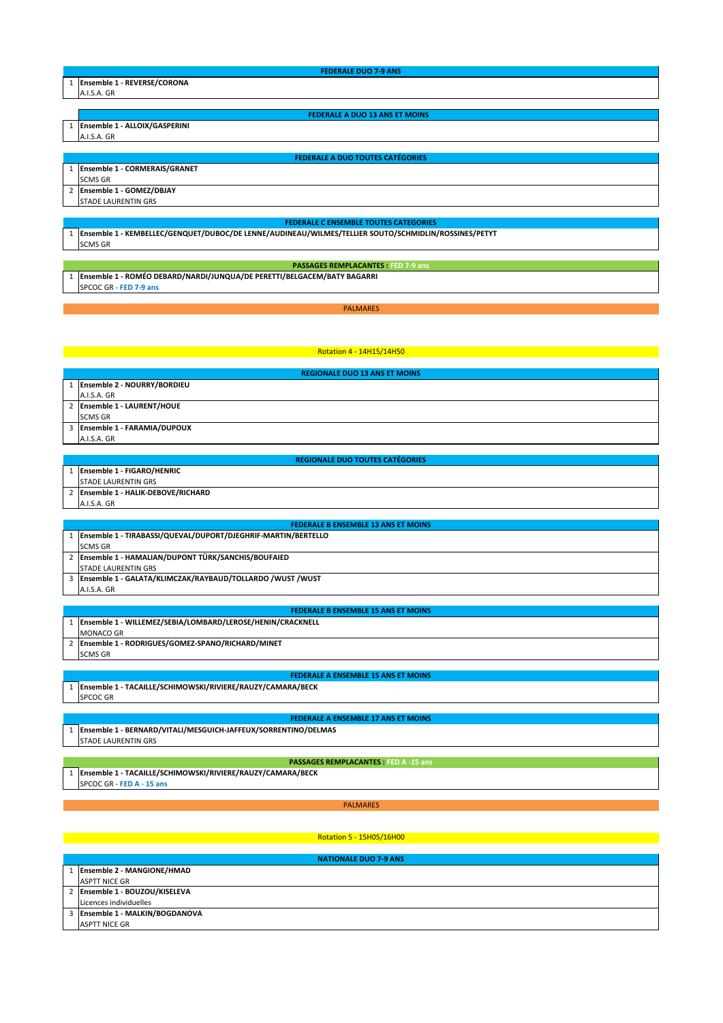| <b>FEDERALE DUO 7-9 ANS</b>             |  |
|-----------------------------------------|--|
| 1 Ensemble 1 - REVERSE/CORONA           |  |
| A.I.S.A. GR                             |  |
|                                         |  |
| <b>FEDERALE A DUO 13 ANS ET MOINS</b>   |  |
| 1 Ensemble 1 - ALLOIX/GASPERINI         |  |
| A.I.S.A. GR                             |  |
|                                         |  |
| <b>FEDERALE A DUO TOUTES CATÉGORIES</b> |  |
| 1 Ensemble 1 - CORMERAIS/GRANET         |  |
| <b>SCMS GR</b>                          |  |
| 2 Ensemble 1 - GOMEZ/DBJAY              |  |
| <b>STADE LAURENTIN GRS</b>              |  |
|                                         |  |

#### **FEDERALE C ENSEMBLE TOUTES CATEGORIES**

**PASSAGES REMPLACANTES : FED 7-9 ans**

1 **Ensemble 1 - KEMBELLEC/GENQUET/DUBOC/DE LENNE/AUDINEAU/WILMES/TELLIER SOUTO/SCHMIDLIN/ROSSINES/PETYT** SCMS GR

1 **Ensemble 1 - ROMÉO DEBARD/NARDI/JUNQUA/DE PERETTI/BELGACEM/BATY BAGARRI** SPCOC GR **- FED 7-9 ans**

# PALMARES

# Rotation 4 - 14H15/14H50

|                | <b>REGIONALE DUO 13 ANS ET MOINS</b> |
|----------------|--------------------------------------|
|                | Ensemble 2 - NOURRY/BORDIEU          |
| A.I.S.A. GR    |                                      |
|                | 2 Ensemble 1 - LAURENT/HOUE          |
| <b>SCMS GR</b> |                                      |
|                | Ensemble 1 - FARAMIA/DUPOUX          |
| A.I.S.A. GR    |                                      |

|  | <b>REGIONALE DUO TOUTES CATEGORIES</b> |
|--|----------------------------------------|
|--|----------------------------------------|

| <b>Ensemble 1 - FIGARO/HENRIC</b> |
|-----------------------------------|
| <b>STADE LAURENTIN GRS</b>        |
|                                   |
| Ensemble 1 - HALIK-DEBOVE/RICHARD |

| <b>FEDERALE B ENSEMBLE 13 ANS ET MOINS</b> |                                                               |
|--------------------------------------------|---------------------------------------------------------------|
|                                            | Ensemble 1 - TIRABASSI/QUEVAL/DUPORT/DJEGHRIF-MARTIN/BERTELLO |
|                                            | <b>SCMS GR</b>                                                |
|                                            | 2 Ensemble 1 - HAMALIAN/DUPONT TÜRK/SANCHIS/BOUFAIED          |
|                                            | <b>STADE LAURENTIN GRS</b>                                    |
|                                            | Ensemble 1 - GALATA/KLIMCZAK/RAYBAUD/TOLLARDO /WUST /WUST     |
|                                            | A.I.S.A. GR                                                   |

#### **FEDERALE B ENSEMBLE 15 ANS ET MOINS**

1 **Ensemble 1 - WILLEMEZ/SEBIA/LOMBARD/LEROSE/HENIN/CRACKNELL**  MONACO GR

2 **Ensemble 1 - RODRIGUES/GOMEZ-SPANO/RICHARD/MINET**  SCMS GR

#### **FEDERALE A ENSEMBLE 15 ANS ET MOINS**

1 **Ensemble 1 - TACAILLE/SCHIMOWSKI/RIVIERE/RAUZY/CAMARA/BECK**  SPCOC GR

#### **FEDERALE A ENSEMBLE 17 ANS ET MOINS**

1 **Ensemble 1 - BERNARD/VITALI/MESGUICH-JAFFEUX/SORRENTINO/DELMAS**  STADE LAURENTIN GRS

## **PASSAGES REMPLACANTES : FED A -15 ans**

1 **Ensemble 1 - TACAILLE/SCHIMOWSKI/RIVIERE/RAUZY/CAMARA/BECK**  SPCOC GR - **FED A - 15 ans**

PALMARES

# Rotation 5 - 15H05/16H00

| <b>NATIONALE DUO 7-9 ANS</b>    |  |
|---------------------------------|--|
| Ensemble 2 - MANGIONE/HMAD      |  |
| <b>ASPTT NICE GR</b>            |  |
| 2 Ensemble 1 - BOUZOU/KISELEVA  |  |
| Licences individuelles          |  |
| 3 Ensemble 1 - MALKIN/BOGDANOVA |  |
| <b>ASPTT NICE GR</b>            |  |